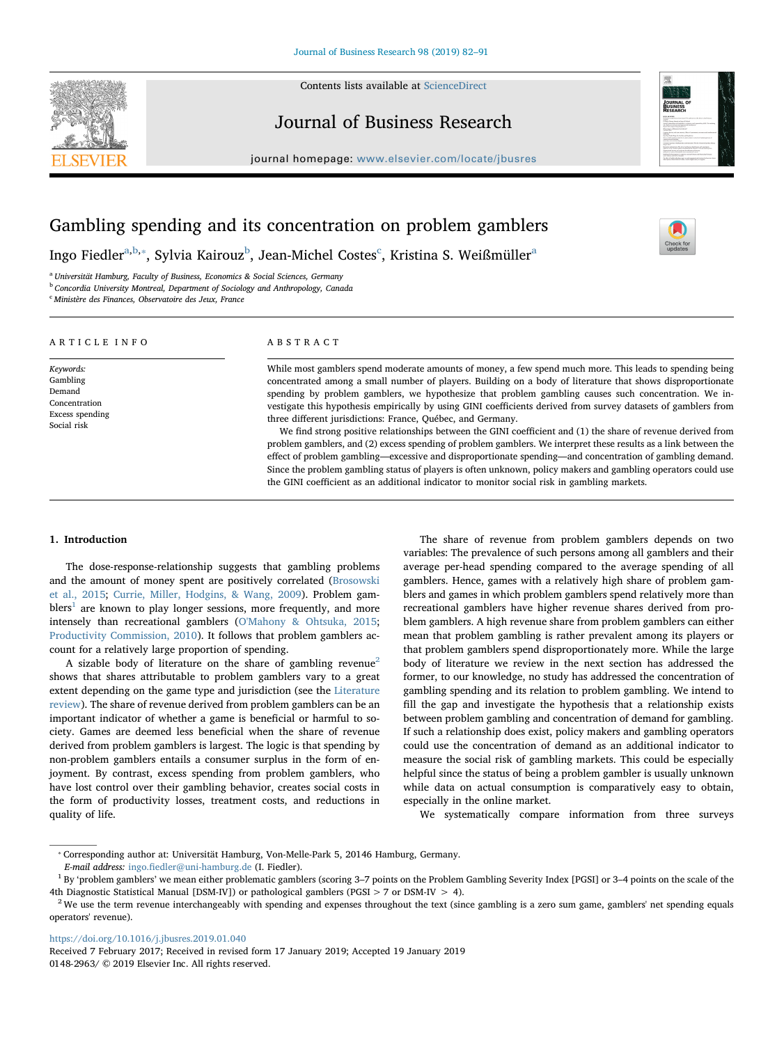

Contents lists available at [ScienceDirect](http://www.sciencedirect.com/science/journal/01482963)

# Journal of Business Research

journal homepage: [www.elsevier.com/locate/jbusres](https://www.elsevier.com/locate/jbusres)



 $\frac{1}{\sqrt{2}}$ 

# Gambling spending and its concentration on problem gamblers

Ingo Fiedler<sup>[a](#page-0-0),[b,](#page-0-1)</sup>\*, Sylvia Kairouz<sup>[b](#page-0-1)</sup>, Jean-Mi[c](#page-0-3)hel Costes<sup>c</sup>, Kristina S. Weißmüller<sup>a</sup>

<span id="page-0-0"></span><sup>a</sup> Universität Hamburg, Faculty of Business, Economics & Social Sciences, Germany

<span id="page-0-1"></span>**b Concordia University Montreal, Department of Sociology and Anthropology, Canada** 

<span id="page-0-3"></span><sup>c</sup> Ministère des Finances, Observatoire des Jeux, France

# ARTICLE INFO

Keywords: Gambling Demand Concentration Excess spending Social risk

# ABSTRACT

While most gamblers spend moderate amounts of money, a few spend much more. This leads to spending being concentrated among a small number of players. Building on a body of literature that shows disproportionate spending by problem gamblers, we hypothesize that problem gambling causes such concentration. We investigate this hypothesis empirically by using GINI coefficients derived from survey datasets of gamblers from three different jurisdictions: France, Québec, and Germany.

We find strong positive relationships between the GINI coefficient and (1) the share of revenue derived from problem gamblers, and (2) excess spending of problem gamblers. We interpret these results as a link between the effect of problem gambling—excessive and disproportionate spending—and concentration of gambling demand. Since the problem gambling status of players is often unknown, policy makers and gambling operators could use the GINI coefficient as an additional indicator to monitor social risk in gambling markets.

# 1. Introduction

The dose-response-relationship suggests that gambling problems and the amount of money spent are positively correlated ([Brosowski](#page-8-0) [et al., 2015](#page-8-0); [Currie, Miller, Hodgins, & Wang, 2009](#page-8-1)). Problem gam- $b \text{lers}^1$  $b \text{lers}^1$  are known to play longer sessions, more frequently, and more intensely than recreational gamblers [\(O'Mahony & Ohtsuka, 2015](#page-9-0); [Productivity Commission, 2010\)](#page-9-1). It follows that problem gamblers account for a relatively large proportion of spending.

A sizable body of literature on the share of gambling revenue<sup>2</sup> shows that shares attributable to problem gamblers vary to a great extent depending on the game type and jurisdiction (see the [Literature](#page-1-0) [review](#page-1-0)). The share of revenue derived from problem gamblers can be an important indicator of whether a game is beneficial or harmful to society. Games are deemed less beneficial when the share of revenue derived from problem gamblers is largest. The logic is that spending by non-problem gamblers entails a consumer surplus in the form of enjoyment. By contrast, excess spending from problem gamblers, who have lost control over their gambling behavior, creates social costs in the form of productivity losses, treatment costs, and reductions in quality of life.

The share of revenue from problem gamblers depends on two variables: The prevalence of such persons among all gamblers and their average per-head spending compared to the average spending of all gamblers. Hence, games with a relatively high share of problem gamblers and games in which problem gamblers spend relatively more than recreational gamblers have higher revenue shares derived from problem gamblers. A high revenue share from problem gamblers can either mean that problem gambling is rather prevalent among its players or that problem gamblers spend disproportionately more. While the large body of literature we review in the next section has addressed the former, to our knowledge, no study has addressed the concentration of gambling spending and its relation to problem gambling. We intend to fill the gap and investigate the hypothesis that a relationship exists between problem gambling and concentration of demand for gambling. If such a relationship does exist, policy makers and gambling operators could use the concentration of demand as an additional indicator to measure the social risk of gambling markets. This could be especially helpful since the status of being a problem gambler is usually unknown while data on actual consumption is comparatively easy to obtain, especially in the online market.

We systematically compare information from three surveys

<https://doi.org/10.1016/j.jbusres.2019.01.040>

<span id="page-0-2"></span><sup>⁎</sup> Corresponding author at: Universität Hamburg, Von-Melle-Park 5, 20146 Hamburg, Germany.

E-mail address: ingo.fi[edler@uni-hamburg.de](mailto:ingo.fiedler@uni-hamburg.de) (I. Fiedler).

<span id="page-0-4"></span><sup>1</sup> By 'problem gamblers' we mean either problematic gamblers (scoring 3–7 points on the Problem Gambling Severity Index [PGSI] or 3–4 points on the scale of the 4th Diagnostic Statistical Manual [DSM-IV]) or pathological gamblers (PGSI  $> 7$  or DSM-IV  $> 4$ ).

<span id="page-0-5"></span><sup>&</sup>lt;sup>2</sup> We use the term revenue interchangeably with spending and expenses throughout the text (since gambling is a zero sum game, gamblers' net spending equals operators' revenue).

Received 7 February 2017; Received in revised form 17 January 2019; Accepted 19 January 2019 0148-2963/ © 2019 Elsevier Inc. All rights reserved.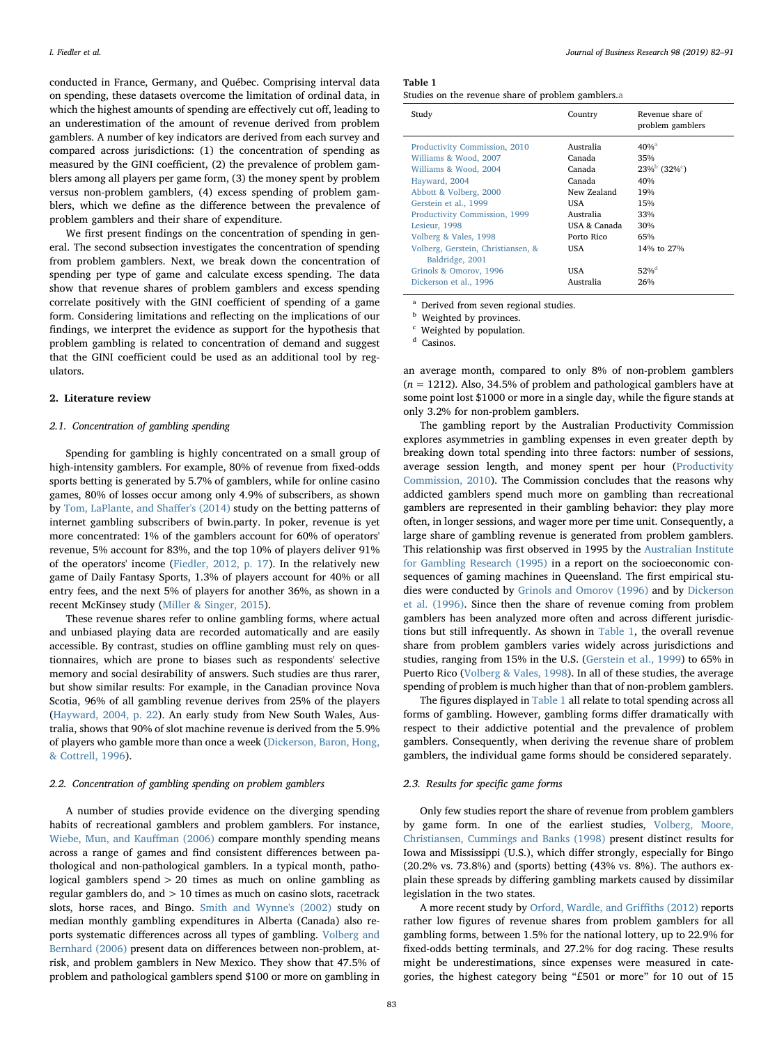conducted in France, Germany, and Québec. Comprising interval data on spending, these datasets overcome the limitation of ordinal data, in which the highest amounts of spending are effectively cut off, leading to an underestimation of the amount of revenue derived from problem gamblers. A number of key indicators are derived from each survey and compared across jurisdictions: (1) the concentration of spending as measured by the GINI coefficient, (2) the prevalence of problem gamblers among all players per game form, (3) the money spent by problem versus non-problem gamblers, (4) excess spending of problem gamblers, which we define as the difference between the prevalence of problem gamblers and their share of expenditure.

We first present findings on the concentration of spending in general. The second subsection investigates the concentration of spending from problem gamblers. Next, we break down the concentration of spending per type of game and calculate excess spending. The data show that revenue shares of problem gamblers and excess spending correlate positively with the GINI coefficient of spending of a game form. Considering limitations and reflecting on the implications of our findings, we interpret the evidence as support for the hypothesis that problem gambling is related to concentration of demand and suggest that the GINI coefficient could be used as an additional tool by regulators.

#### <span id="page-1-0"></span>2. Literature review

#### 2.1. Concentration of gambling spending

Spending for gambling is highly concentrated on a small group of high-intensity gamblers. For example, 80% of revenue from fixed-odds sports betting is generated by 5.7% of gamblers, while for online casino games, 80% of losses occur among only 4.9% of subscribers, as shown by [Tom, LaPlante, and Sha](#page-9-2)ffer's (2014) study on the betting patterns of internet gambling subscribers of bwin.party. In poker, revenue is yet more concentrated: 1% of the gamblers account for 60% of operators' revenue, 5% account for 83%, and the top 10% of players deliver 91% of the operators' income ([Fiedler, 2012, p. 17](#page-8-2)). In the relatively new game of Daily Fantasy Sports, 1.3% of players account for 40% or all entry fees, and the next 5% of players for another 36%, as shown in a recent McKinsey study ([Miller & Singer, 2015\)](#page-9-3).

These revenue shares refer to online gambling forms, where actual and unbiased playing data are recorded automatically and are easily accessible. By contrast, studies on offline gambling must rely on questionnaires, which are prone to biases such as respondents' selective memory and social desirability of answers. Such studies are thus rarer, but show similar results: For example, in the Canadian province Nova Scotia, 96% of all gambling revenue derives from 25% of the players ([Hayward, 2004, p. 22](#page-9-4)). An early study from New South Wales, Australia, shows that 90% of slot machine revenue is derived from the 5.9% of players who gamble more than once a week [\(Dickerson, Baron, Hong,](#page-8-3) [& Cottrell, 1996](#page-8-3)).

#### 2.2. Concentration of gambling spending on problem gamblers

A number of studies provide evidence on the diverging spending habits of recreational gamblers and problem gamblers. For instance, [Wiebe, Mun, and Kau](#page-9-5)ffman (2006) compare monthly spending means across a range of games and find consistent differences between pathological and non-pathological gamblers. In a typical month, pathological gamblers spend > 20 times as much on online gambling as regular gamblers do, and > 10 times as much on casino slots, racetrack slots, horse races, and Bingo. [Smith and Wynne's \(2002\)](#page-9-6) study on median monthly gambling expenditures in Alberta (Canada) also reports systematic differences across all types of gambling. [Volberg and](#page-9-7) [Bernhard \(2006\)](#page-9-7) present data on differences between non-problem, atrisk, and problem gamblers in New Mexico. They show that 47.5% of problem and pathological gamblers spend \$100 or more on gambling in

<span id="page-1-1"></span>Table 1

|  | Studies on the revenue share of problem gamblers.a |  |  |  |
|--|----------------------------------------------------|--|--|--|
|  |                                                    |  |  |  |

| Study                                                                                                                                                                                                                                                                | Country                                                                                                         | Revenue share of<br>problem gamblers                                                                              |
|----------------------------------------------------------------------------------------------------------------------------------------------------------------------------------------------------------------------------------------------------------------------|-----------------------------------------------------------------------------------------------------------------|-------------------------------------------------------------------------------------------------------------------|
| Productivity Commission, 2010<br>Williams & Wood, 2007<br>Williams & Wood, 2004<br>Hayward, 2004<br>Abbott & Volberg, 2000<br>Gerstein et al., 1999<br>Productivity Commission, 1999<br>Lesieur, 1998<br>Volberg & Vales, 1998<br>Volberg, Gerstein, Christiansen, & | Australia<br>Canada<br>Canada<br>Canada<br>New Zealand<br>USA<br>Australia<br>USA & Canada<br>Porto Rico<br>USA | $40%$ <sup>a</sup><br>35%<br>$23\%^b$ (32% <sup>c</sup> )<br>40%<br>19%<br>15%<br>33%<br>30%<br>65%<br>14% to 27% |
| Baldridge, 2001<br>Grinols & Omorov, 1996<br>Dickerson et al., 1996                                                                                                                                                                                                  | USA<br>Australia                                                                                                | 52% <sup>d</sup><br>26%                                                                                           |

<span id="page-1-2"></span><sup>a</sup> Derived from seven regional studies.

<span id="page-1-3"></span>**b** Weighted by provinces.

<span id="page-1-4"></span><sup>c</sup> Weighted by population.

<span id="page-1-5"></span><sup>d</sup> Casinos.

an average month, compared to only 8% of non-problem gamblers  $(n = 1212)$ . Also, 34.5% of problem and pathological gamblers have at some point lost \$1000 or more in a single day, while the figure stands at only 3.2% for non-problem gamblers.

The gambling report by the Australian Productivity Commission explores asymmetries in gambling expenses in even greater depth by breaking down total spending into three factors: number of sessions, average session length, and money spent per hour [\(Productivity](#page-9-1) [Commission, 2010\)](#page-9-1). The Commission concludes that the reasons why addicted gamblers spend much more on gambling than recreational gamblers are represented in their gambling behavior: they play more often, in longer sessions, and wager more per time unit. Consequently, a large share of gambling revenue is generated from problem gamblers. This relationship was first observed in 1995 by the [Australian Institute](#page-8-4) [for Gambling Research \(1995\)](#page-8-4) in a report on the socioeconomic consequences of gaming machines in Queensland. The first empirical studies were conducted by [Grinols and Omorov \(1996\)](#page-9-8) and by [Dickerson](#page-8-3) [et al. \(1996\).](#page-8-3) Since then the share of revenue coming from problem gamblers has been analyzed more often and across different jurisdictions but still infrequently. As shown in [Table 1](#page-1-1), the overall revenue share from problem gamblers varies widely across jurisdictions and studies, ranging from 15% in the U.S. [\(Gerstein et al., 1999](#page-8-5)) to 65% in Puerto Rico ([Volberg & Vales, 1998](#page-9-9)). In all of these studies, the average spending of problem is much higher than that of non-problem gamblers.

The figures displayed in [Table 1](#page-1-1) all relate to total spending across all forms of gambling. However, gambling forms differ dramatically with respect to their addictive potential and the prevalence of problem gamblers. Consequently, when deriving the revenue share of problem gamblers, the individual game forms should be considered separately.

#### 2.3. Results for specific game forms

Only few studies report the share of revenue from problem gamblers by game form. In one of the earliest studies, [Volberg, Moore,](#page-9-10) [Christiansen, Cummings and Banks \(1998\)](#page-9-10) present distinct results for Iowa and Mississippi (U.S.), which differ strongly, especially for Bingo (20.2% vs. 73.8%) and (sports) betting (43% vs. 8%). The authors explain these spreads by differing gambling markets caused by dissimilar legislation in the two states.

A more recent study by [Orford, Wardle, and Gri](#page-9-11)ffiths (2012) reports rather low figures of revenue shares from problem gamblers for all gambling forms, between 1.5% for the national lottery, up to 22.9% for fixed-odds betting terminals, and 27.2% for dog racing. These results might be underestimations, since expenses were measured in categories, the highest category being "£501 or more" for 10 out of 15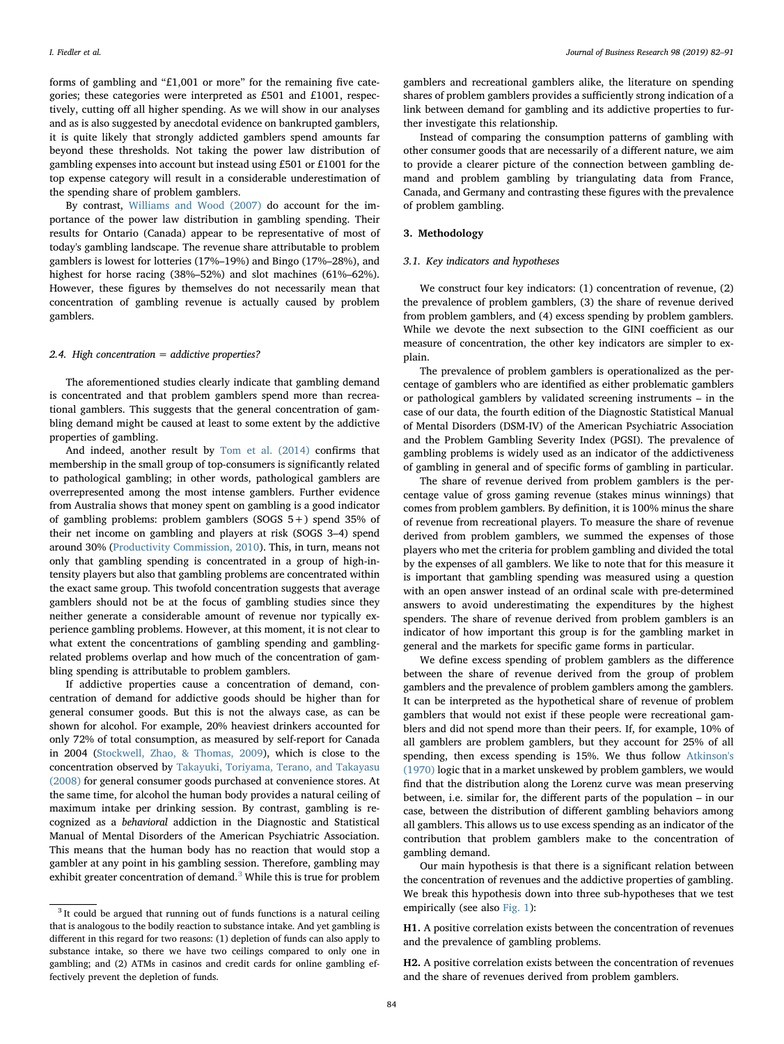forms of gambling and "£1,001 or more" for the remaining five categories; these categories were interpreted as £501 and £1001, respectively, cutting off all higher spending. As we will show in our analyses and as is also suggested by anecdotal evidence on bankrupted gamblers, it is quite likely that strongly addicted gamblers spend amounts far beyond these thresholds. Not taking the power law distribution of gambling expenses into account but instead using £501 or £1001 for the top expense category will result in a considerable underestimation of the spending share of problem gamblers.

By contrast, [Williams and Wood \(2007\)](#page-9-12) do account for the importance of the power law distribution in gambling spending. Their results for Ontario (Canada) appear to be representative of most of today's gambling landscape. The revenue share attributable to problem gamblers is lowest for lotteries (17%–19%) and Bingo (17%–28%), and highest for horse racing (38%–52%) and slot machines (61%–62%). However, these figures by themselves do not necessarily mean that concentration of gambling revenue is actually caused by problem gamblers.

#### 2.4. High concentration  $=$  addictive properties?

The aforementioned studies clearly indicate that gambling demand is concentrated and that problem gamblers spend more than recreational gamblers. This suggests that the general concentration of gambling demand might be caused at least to some extent by the addictive properties of gambling.

And indeed, another result by [Tom et al. \(2014\)](#page-9-2) confirms that membership in the small group of top-consumers is significantly related to pathological gambling; in other words, pathological gamblers are overrepresented among the most intense gamblers. Further evidence from Australia shows that money spent on gambling is a good indicator of gambling problems: problem gamblers (SOGS 5+) spend 35% of their net income on gambling and players at risk (SOGS 3–4) spend around 30% ([Productivity Commission, 2010](#page-9-1)). This, in turn, means not only that gambling spending is concentrated in a group of high-intensity players but also that gambling problems are concentrated within the exact same group. This twofold concentration suggests that average gamblers should not be at the focus of gambling studies since they neither generate a considerable amount of revenue nor typically experience gambling problems. However, at this moment, it is not clear to what extent the concentrations of gambling spending and gamblingrelated problems overlap and how much of the concentration of gambling spending is attributable to problem gamblers.

If addictive properties cause a concentration of demand, concentration of demand for addictive goods should be higher than for general consumer goods. But this is not the always case, as can be shown for alcohol. For example, 20% heaviest drinkers accounted for only 72% of total consumption, as measured by self-report for Canada in 2004 ([Stockwell, Zhao, & Thomas, 2009\)](#page-9-17), which is close to the concentration observed by [Takayuki, Toriyama, Terano, and Takayasu](#page-9-18) [\(2008\)](#page-9-18) for general consumer goods purchased at convenience stores. At the same time, for alcohol the human body provides a natural ceiling of maximum intake per drinking session. By contrast, gambling is recognized as a behavioral addiction in the Diagnostic and Statistical Manual of Mental Disorders of the American Psychiatric Association. This means that the human body has no reaction that would stop a gambler at any point in his gambling session. Therefore, gambling may exhibit greater concentration of demand.<sup>[3](#page-2-0)</sup> While this is true for problem

gamblers and recreational gamblers alike, the literature on spending shares of problem gamblers provides a sufficiently strong indication of a link between demand for gambling and its addictive properties to further investigate this relationship.

Instead of comparing the consumption patterns of gambling with other consumer goods that are necessarily of a different nature, we aim to provide a clearer picture of the connection between gambling demand and problem gambling by triangulating data from France, Canada, and Germany and contrasting these figures with the prevalence of problem gambling.

# 3. Methodology

# 3.1. Key indicators and hypotheses

We construct four key indicators: (1) concentration of revenue, (2) the prevalence of problem gamblers, (3) the share of revenue derived from problem gamblers, and (4) excess spending by problem gamblers. While we devote the next subsection to the GINI coefficient as our measure of concentration, the other key indicators are simpler to explain.

The prevalence of problem gamblers is operationalized as the percentage of gamblers who are identified as either problematic gamblers or pathological gamblers by validated screening instruments – in the case of our data, the fourth edition of the Diagnostic Statistical Manual of Mental Disorders (DSM-IV) of the American Psychiatric Association and the Problem Gambling Severity Index (PGSI). The prevalence of gambling problems is widely used as an indicator of the addictiveness of gambling in general and of specific forms of gambling in particular.

The share of revenue derived from problem gamblers is the percentage value of gross gaming revenue (stakes minus winnings) that comes from problem gamblers. By definition, it is 100% minus the share of revenue from recreational players. To measure the share of revenue derived from problem gamblers, we summed the expenses of those players who met the criteria for problem gambling and divided the total by the expenses of all gamblers. We like to note that for this measure it is important that gambling spending was measured using a question with an open answer instead of an ordinal scale with pre-determined answers to avoid underestimating the expenditures by the highest spenders. The share of revenue derived from problem gamblers is an indicator of how important this group is for the gambling market in general and the markets for specific game forms in particular.

We define excess spending of problem gamblers as the difference between the share of revenue derived from the group of problem gamblers and the prevalence of problem gamblers among the gamblers. It can be interpreted as the hypothetical share of revenue of problem gamblers that would not exist if these people were recreational gamblers and did not spend more than their peers. If, for example, 10% of all gamblers are problem gamblers, but they account for 25% of all spending, then excess spending is 15%. We thus follow [Atkinson's](#page-8-7) [\(1970\)](#page-8-7) logic that in a market unskewed by problem gamblers, we would find that the distribution along the Lorenz curve was mean preserving between, i.e. similar for, the different parts of the population – in our case, between the distribution of different gambling behaviors among all gamblers. This allows us to use excess spending as an indicator of the contribution that problem gamblers make to the concentration of gambling demand.

Our main hypothesis is that there is a significant relation between the concentration of revenues and the addictive properties of gambling. We break this hypothesis down into three sub-hypotheses that we test empirically (see also [Fig. 1\)](#page-3-0):

<span id="page-2-3"></span>H1. A positive correlation exists between the concentration of revenues and the prevalence of gambling problems.

<span id="page-2-2"></span><span id="page-2-1"></span>H2. A positive correlation exists between the concentration of revenues and the share of revenues derived from problem gamblers.

<span id="page-2-0"></span><sup>&</sup>lt;sup>3</sup> It could be argued that running out of funds functions is a natural ceiling that is analogous to the bodily reaction to substance intake. And yet gambling is different in this regard for two reasons: (1) depletion of funds can also apply to substance intake, so there we have two ceilings compared to only one in gambling; and (2) ATMs in casinos and credit cards for online gambling effectively prevent the depletion of funds.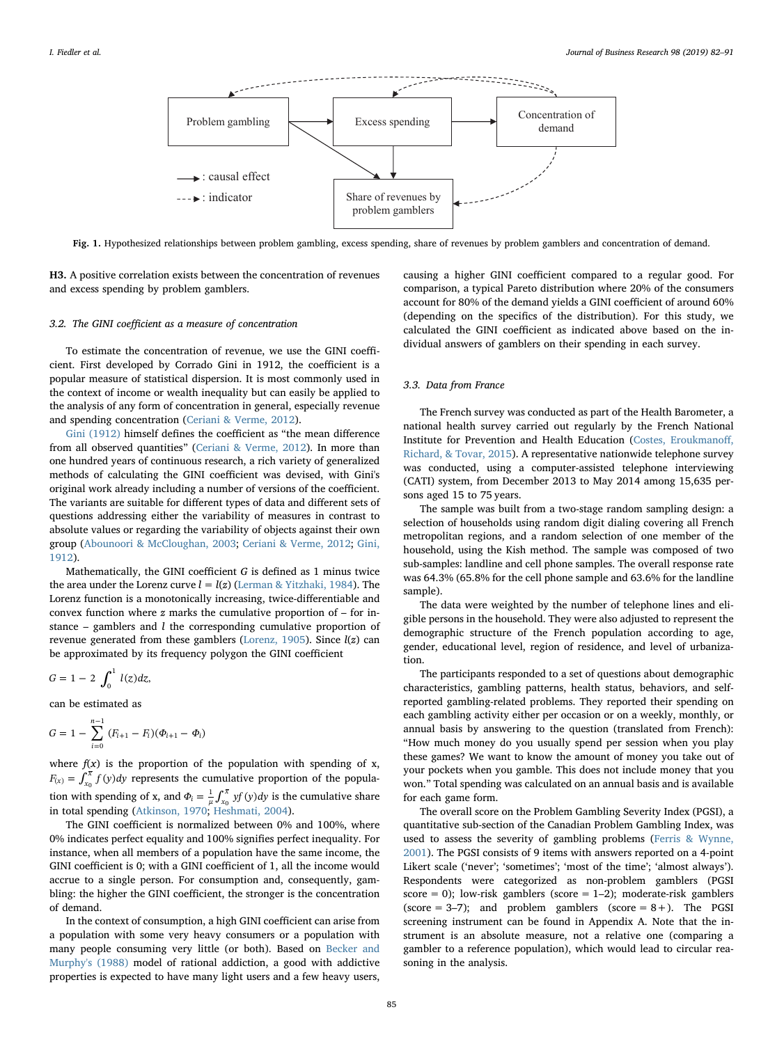<span id="page-3-0"></span>

Fig. 1. Hypothesized relationships between problem gambling, excess spending, share of revenues by problem gamblers and concentration of demand.

H3. A positive correlation exists between the concentration of revenues and excess spending by problem gamblers.

# 3.2. The GINI coefficient as a measure of concentration

To estimate the concentration of revenue, we use the GINI coefficient. First developed by Corrado Gini in 1912, the coefficient is a popular measure of statistical dispersion. It is most commonly used in the context of income or wealth inequality but can easily be applied to the analysis of any form of concentration in general, especially revenue and spending concentration ([Ceriani & Verme, 2012](#page-8-8)).

[Gini \(1912\)](#page-9-19) himself defines the coefficient as "the mean difference from all observed quantities" ([Ceriani & Verme, 2012\)](#page-8-8). In more than one hundred years of continuous research, a rich variety of generalized methods of calculating the GINI coefficient was devised, with Gini's original work already including a number of versions of the coefficient. The variants are suitable for different types of data and different sets of questions addressing either the variability of measures in contrast to absolute values or regarding the variability of objects against their own group ([Abounoori & McCloughan, 2003](#page-8-9); [Ceriani & Verme, 2012;](#page-8-8) [Gini,](#page-9-19) [1912\)](#page-9-19).

Mathematically, the GINI coefficient G is defined as 1 minus twice the area under the Lorenz curve  $l = l(z)$  ([Lerman & Yitzhaki, 1984](#page-9-20)). The Lorenz function is a monotonically increasing, twice-differentiable and convex function where  $z$  marks the cumulative proportion of  $-$  for instance – gamblers and  $l$  the corresponding cumulative proportion of revenue generated from these gamblers [\(Lorenz, 1905](#page-9-21)). Since  $l(z)$  can be approximated by its frequency polygon the GINI coefficient

$$
G=1-2\int_0^1 l(z)dz,
$$

can be estimated as

$$
G = 1 - \sum_{i=0}^{n-1} (F_{i+1} - F_i)(\Phi_{i+1} - \Phi_i)
$$

where  $f(x)$  is the proportion of the population with spending of x,  $F(x) = \int_{x_0}^{\overline{x}} f(y) dy$  represents the cumulative proportion of the population with spending of x, and  $\Phi_i = \frac{1}{\mu} \int_{x_0}^{\overline{x}} y f(y) dy$  is the cumulative share in total spending [\(Atkinson, 1970](#page-8-7); [Heshmati, 2004\)](#page-9-22).

The GINI coefficient is normalized between 0% and 100%, where 0% indicates perfect equality and 100% signifies perfect inequality. For instance, when all members of a population have the same income, the GINI coefficient is 0; with a GINI coefficient of 1, all the income would accrue to a single person. For consumption and, consequently, gambling: the higher the GINI coefficient, the stronger is the concentration of demand.

In the context of consumption, a high GINI coefficient can arise from a population with some very heavy consumers or a population with many people consuming very little (or both). Based on [Becker and](#page-8-10) [Murphy's \(1988\)](#page-8-10) model of rational addiction, a good with addictive properties is expected to have many light users and a few heavy users,

causing a higher GINI coefficient compared to a regular good. For comparison, a typical Pareto distribution where 20% of the consumers account for 80% of the demand yields a GINI coefficient of around 60% (depending on the specifics of the distribution). For this study, we calculated the GINI coefficient as indicated above based on the individual answers of gamblers on their spending in each survey.

# 3.3. Data from France

The French survey was conducted as part of the Health Barometer, a national health survey carried out regularly by the French National Institute for Prevention and Health Education [\(Costes, Eroukmano](#page-8-11)ff, [Richard, & Tovar, 2015\)](#page-8-11). A representative nationwide telephone survey was conducted, using a computer-assisted telephone interviewing (CATI) system, from December 2013 to May 2014 among 15,635 persons aged 15 to 75 years.

The sample was built from a two-stage random sampling design: a selection of households using random digit dialing covering all French metropolitan regions, and a random selection of one member of the household, using the Kish method. The sample was composed of two sub-samples: landline and cell phone samples. The overall response rate was 64.3% (65.8% for the cell phone sample and 63.6% for the landline sample).

The data were weighted by the number of telephone lines and eligible persons in the household. They were also adjusted to represent the demographic structure of the French population according to age, gender, educational level, region of residence, and level of urbanization.

The participants responded to a set of questions about demographic characteristics, gambling patterns, health status, behaviors, and selfreported gambling-related problems. They reported their spending on each gambling activity either per occasion or on a weekly, monthly, or annual basis by answering to the question (translated from French): "How much money do you usually spend per session when you play these games? We want to know the amount of money you take out of your pockets when you gamble. This does not include money that you won." Total spending was calculated on an annual basis and is available for each game form.

The overall score on the Problem Gambling Severity Index (PGSI), a quantitative sub-section of the Canadian Problem Gambling Index, was used to assess the severity of gambling problems [\(Ferris & Wynne,](#page-8-12) [2001\)](#page-8-12). The PGSI consists of 9 items with answers reported on a 4-point Likert scale ('never'; 'sometimes'; 'most of the time'; 'almost always'). Respondents were categorized as non-problem gamblers (PGSI score = 0); low-risk gamblers (score =  $1-2$ ); moderate-risk gamblers (score  $= 3-7$ ); and problem gamblers (score  $= 8+$ ). The PGSI screening instrument can be found in Appendix A. Note that the instrument is an absolute measure, not a relative one (comparing a gambler to a reference population), which would lead to circular reasoning in the analysis.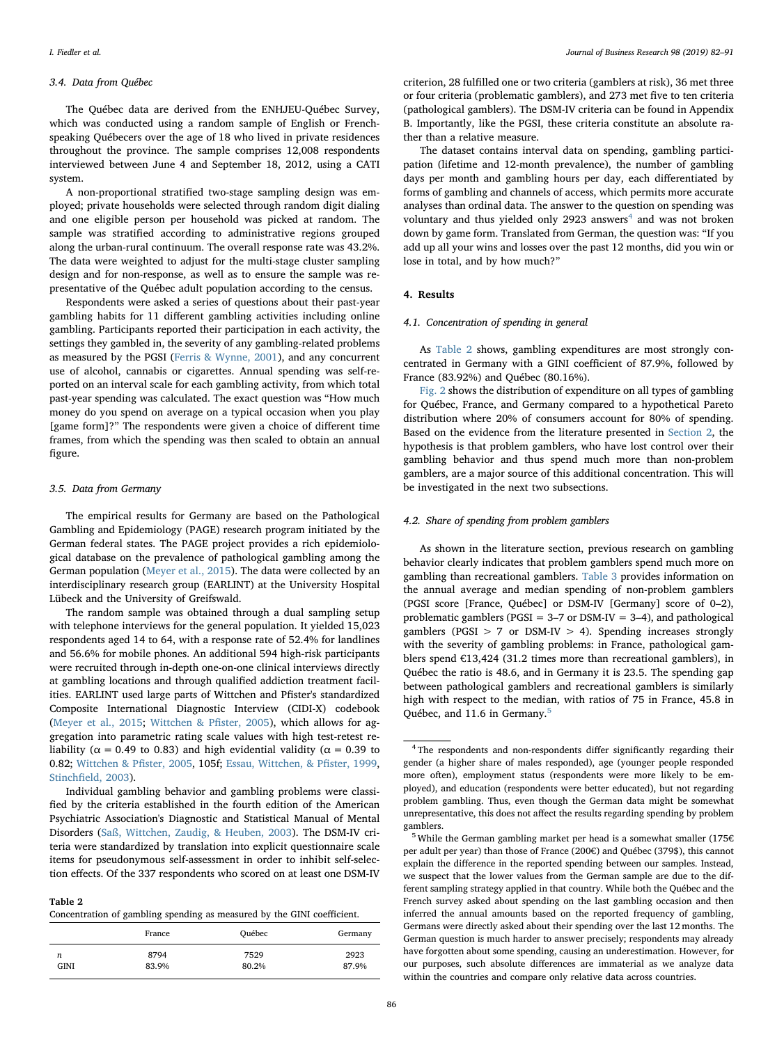#### 3.4. Data from Québec

The Québec data are derived from the ENHJEU-Québec Survey, which was conducted using a random sample of English or Frenchspeaking Québecers over the age of 18 who lived in private residences throughout the province. The sample comprises 12,008 respondents interviewed between June 4 and September 18, 2012, using a CATI system.

A non-proportional stratified two-stage sampling design was employed; private households were selected through random digit dialing and one eligible person per household was picked at random. The sample was stratified according to administrative regions grouped along the urban-rural continuum. The overall response rate was 43.2%. The data were weighted to adjust for the multi-stage cluster sampling design and for non-response, as well as to ensure the sample was representative of the Québec adult population according to the census.

Respondents were asked a series of questions about their past-year gambling habits for 11 different gambling activities including online gambling. Participants reported their participation in each activity, the settings they gambled in, the severity of any gambling-related problems as measured by the PGSI [\(Ferris & Wynne, 2001](#page-8-12)), and any concurrent use of alcohol, cannabis or cigarettes. Annual spending was self-reported on an interval scale for each gambling activity, from which total past-year spending was calculated. The exact question was "How much money do you spend on average on a typical occasion when you play [game form]?" The respondents were given a choice of different time frames, from which the spending was then scaled to obtain an annual figure.

## 3.5. Data from Germany

The empirical results for Germany are based on the Pathological Gambling and Epidemiology (PAGE) research program initiated by the German federal states. The PAGE project provides a rich epidemiological database on the prevalence of pathological gambling among the German population [\(Meyer et al., 2015\)](#page-9-23). The data were collected by an interdisciplinary research group (EARLINT) at the University Hospital Lübeck and the University of Greifswald.

The random sample was obtained through a dual sampling setup with telephone interviews for the general population. It yielded 15,023 respondents aged 14 to 64, with a response rate of 52.4% for landlines and 56.6% for mobile phones. An additional 594 high-risk participants were recruited through in-depth one-on-one clinical interviews directly at gambling locations and through qualified addiction treatment facilities. EARLINT used large parts of Wittchen and Pfister's standardized Composite International Diagnostic Interview (CIDI-X) codebook ([Meyer et al., 2015;](#page-9-23) [Wittchen & P](#page-9-24)fister, 2005), which allows for aggregation into parametric rating scale values with high test-retest reliability ( $\alpha$  = 0.49 to 0.83) and high evidential validity ( $\alpha$  = 0.39 to 0.82; [Wittchen & P](#page-9-24)fister, 2005, 105f; [Essau, Wittchen, & P](#page-8-13)fister, 1999, Stinchfi[eld, 2003](#page-9-25)).

Individual gambling behavior and gambling problems were classified by the criteria established in the fourth edition of the American Psychiatric Association's Diagnostic and Statistical Manual of Mental Disorders [\(Saß, Wittchen, Zaudig, & Heuben, 2003\)](#page-9-26). The DSM-IV criteria were standardized by translation into explicit questionnaire scale items for pseudonymous self-assessment in order to inhibit self-selection effects. Of the 337 respondents who scored on at least one DSM-IV

# <span id="page-4-1"></span>Table 2

Concentration of gambling spending as measured by the GINI coefficient.

|      | France | Québec | Germany |
|------|--------|--------|---------|
| n    | 8794   | 7529   | 2923    |
| GINI | 83.9%  | 80.2%  | 87.9%   |

criterion, 28 fulfilled one or two criteria (gamblers at risk), 36 met three or four criteria (problematic gamblers), and 273 met five to ten criteria (pathological gamblers). The DSM-IV criteria can be found in Appendix B. Importantly, like the PGSI, these criteria constitute an absolute rather than a relative measure.

The dataset contains interval data on spending, gambling participation (lifetime and 12-month prevalence), the number of gambling days per month and gambling hours per day, each differentiated by forms of gambling and channels of access, which permits more accurate analyses than ordinal data. The answer to the question on spending was voluntary and thus yielded only 2923 answers<sup>[4](#page-4-0)</sup> and was not broken down by game form. Translated from German, the question was: "If you add up all your wins and losses over the past 12 months, did you win or lose in total, and by how much?"

# 4. Results

#### 4.1. Concentration of spending in general

As [Table 2](#page-4-1) shows, gambling expenditures are most strongly concentrated in Germany with a GINI coefficient of 87.9%, followed by France (83.92%) and Québec (80.16%).

[Fig. 2](#page-3-0) shows the distribution of expenditure on all types of gambling for Québec, France, and Germany compared to a hypothetical Pareto distribution where 20% of consumers account for 80% of spending. Based on the evidence from the literature presented in [Section 2](#page-1-0), the hypothesis is that problem gamblers, who have lost control over their gambling behavior and thus spend much more than non-problem gamblers, are a major source of this additional concentration. This will be investigated in the next two subsections.

#### 4.2. Share of spending from problem gamblers

As shown in the literature section, previous research on gambling behavior clearly indicates that problem gamblers spend much more on gambling than recreational gamblers. [Table 3](#page-5-0) provides information on the annual average and median spending of non-problem gamblers (PGSI score [France, Québec] or DSM-IV [Germany] score of 0–2), problematic gamblers (PGSI =  $3-7$  or DSM-IV =  $3-4$ ), and pathological gamblers (PGSI  $> 7$  or DSM-IV  $> 4$ ). Spending increases strongly with the severity of gambling problems: in France, pathological gamblers spend €13,424 (31.2 times more than recreational gamblers), in Québec the ratio is 48.6, and in Germany it is 23.5. The spending gap between pathological gamblers and recreational gamblers is similarly high with respect to the median, with ratios of 75 in France, 45.8 in Québec, and 11.6 in Germany.[5](#page-4-2)

<span id="page-4-0"></span><sup>&</sup>lt;sup>4</sup> The respondents and non-respondents differ significantly regarding their gender (a higher share of males responded), age (younger people responded more often), employment status (respondents were more likely to be employed), and education (respondents were better educated), but not regarding problem gambling. Thus, even though the German data might be somewhat unrepresentative, this does not affect the results regarding spending by problem gamblers.

<span id="page-4-2"></span> $5$  While the German gambling market per head is a somewhat smaller (175 $\epsilon$ per adult per year) than those of France (200€) and Québec (379\$), this cannot explain the difference in the reported spending between our samples. Instead, we suspect that the lower values from the German sample are due to the different sampling strategy applied in that country. While both the Québec and the French survey asked about spending on the last gambling occasion and then inferred the annual amounts based on the reported frequency of gambling, Germans were directly asked about their spending over the last 12 months. The German question is much harder to answer precisely; respondents may already have forgotten about some spending, causing an underestimation. However, for our purposes, such absolute differences are immaterial as we analyze data within the countries and compare only relative data across countries.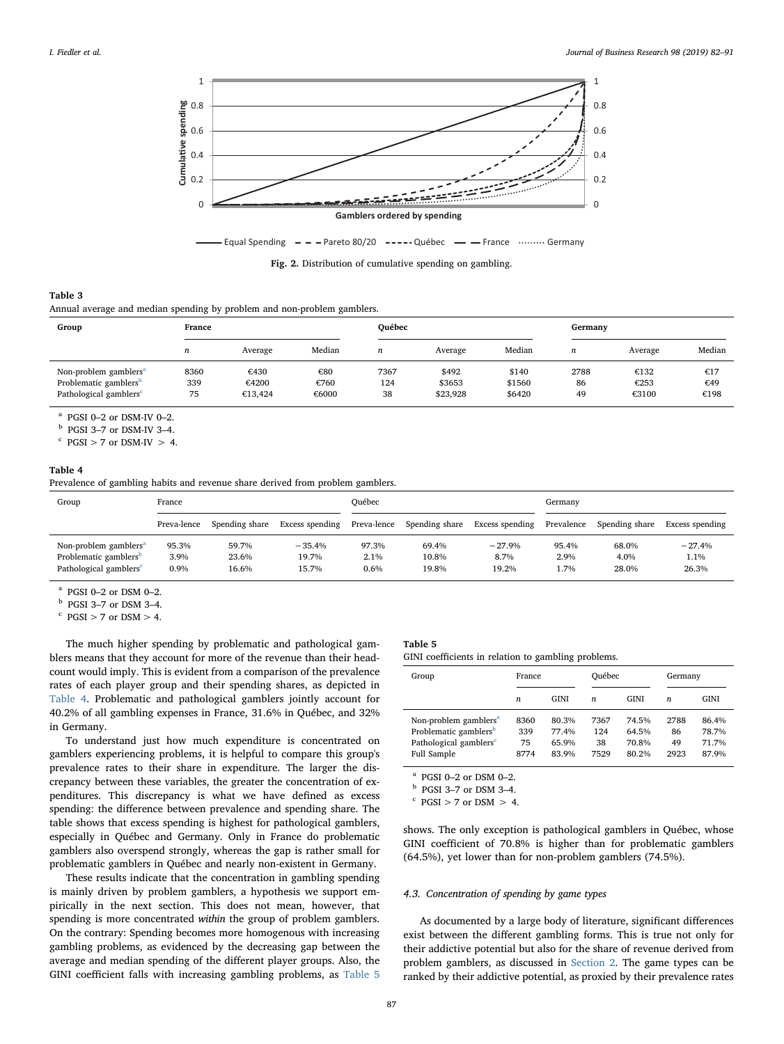

Equal Spending  $-$  - Pareto 80/20  $-$ ----Québec  $-$  France  $\cdots$  Germany

Fig. 2. Distribution of cumulative spending on gambling.

#### <span id="page-5-0"></span>Table 3

Annual average and median spending by problem and non-problem gamblers.

| Group                                                                                                        | France            |                          |                      | Ouébec            |                             |                           | Germany          |                       |                    |  |
|--------------------------------------------------------------------------------------------------------------|-------------------|--------------------------|----------------------|-------------------|-----------------------------|---------------------------|------------------|-----------------------|--------------------|--|
|                                                                                                              | n                 | Average                  | Median               | n                 | Average                     | Median                    | n                | Average               | Median             |  |
| Non-problem gamblers <sup>a</sup><br>Problematic gamblers <sup>b</sup><br>Pathological gamblers <sup>c</sup> | 8360<br>339<br>75 | €430<br>€4200<br>€13,424 | €80<br>€760<br>€6000 | 7367<br>124<br>38 | \$492<br>\$3653<br>\$23,928 | \$140<br>\$1560<br>\$6420 | 2788<br>86<br>49 | €132<br>€253<br>€3100 | €17<br>€49<br>€198 |  |

<span id="page-5-3"></span><sup>a</sup> PGSI 0–2 or DSM-IV 0–2.

<span id="page-5-4"></span> $<sup>b</sup>$  PGSI 3–7 or DSM-IV 3–4.</sup>

<span id="page-5-5"></span> $\text{c}$  PGSI > 7 or DSM-IV > 4.

# <span id="page-5-1"></span>Table 4

Prevalence of gambling habits and revenue share derived from problem gamblers.

| Group                                                                                                        | France                |                         |                            | Ouébec                |                         |                           | Germany               |                        |                           |
|--------------------------------------------------------------------------------------------------------------|-----------------------|-------------------------|----------------------------|-----------------------|-------------------------|---------------------------|-----------------------|------------------------|---------------------------|
|                                                                                                              | Preva-lence           | Spending share          | Excess spending            | Preva-lence           | Spending share          | Excess spending           | Prevalence            | Spending share         | Excess spending           |
| Non-problem gamblers <sup>a</sup><br>Problematic gamblers <sup>b</sup><br>Pathological gamblers <sup>c</sup> | 95.3%<br>3.9%<br>0.9% | 59.7%<br>23.6%<br>16.6% | $-35.4%$<br>19.7%<br>15.7% | 97.3%<br>2.1%<br>0.6% | 69.4%<br>10.8%<br>19.8% | $-27.9%$<br>8.7%<br>19.2% | 95.4%<br>2.9%<br>1.7% | 68.0%<br>4.0%<br>28.0% | $-27.4%$<br>1.1%<br>26.3% |

<span id="page-5-6"></span>PGSI 0-2 or DSM 0-2.

<span id="page-5-7"></span><sup>b</sup> PGSI 3–7 or DSM 3–4.

<span id="page-5-8"></span> $\degree$  PGSI > 7 or DSM > 4.

The much higher spending by problematic and pathological gamblers means that they account for more of the revenue than their headcount would imply. This is evident from a comparison of the prevalence rates of each player group and their spending shares, as depicted in [Table 4.](#page-5-1) Problematic and pathological gamblers jointly account for 40.2% of all gambling expenses in France, 31.6% in Québec, and 32% in Germany.

To understand just how much expenditure is concentrated on gamblers experiencing problems, it is helpful to compare this group's prevalence rates to their share in expenditure. The larger the discrepancy between these variables, the greater the concentration of expenditures. This discrepancy is what we have defined as excess spending: the difference between prevalence and spending share. The table shows that excess spending is highest for pathological gamblers, especially in Québec and Germany. Only in France do problematic gamblers also overspend strongly, whereas the gap is rather small for problematic gamblers in Québec and nearly non-existent in Germany.

These results indicate that the concentration in gambling spending is mainly driven by problem gamblers, a hypothesis we support empirically in the next section. This does not mean, however, that spending is more concentrated within the group of problem gamblers. On the contrary: Spending becomes more homogenous with increasing gambling problems, as evidenced by the decreasing gap between the average and median spending of the different player groups. Also, the GINI coefficient falls with increasing gambling problems, as [Table 5](#page-5-2)

# <span id="page-5-2"></span>Table 5

GINI coefficients in relation to gambling problems.

| Group                                                                                                                       | France                    |                                  | Ouébec                    |                                  | Germany                  |                                  |  |
|-----------------------------------------------------------------------------------------------------------------------------|---------------------------|----------------------------------|---------------------------|----------------------------------|--------------------------|----------------------------------|--|
|                                                                                                                             | n                         | GINI                             | n                         | GINI                             | n                        | <b>GINI</b>                      |  |
| Non-problem gamblers <sup>a</sup><br>Problematic gamblers <sup>b</sup><br>Pathological gamblers <sup>c</sup><br>Full Sample | 8360<br>339<br>75<br>8774 | 80.3%<br>77.4%<br>65.9%<br>83.9% | 7367<br>124<br>38<br>7529 | 74.5%<br>64.5%<br>70.8%<br>80.2% | 2788<br>86<br>49<br>2923 | 86.4%<br>78.7%<br>71.7%<br>87.9% |  |

<span id="page-5-9"></span> $^{a}$  PGSI 0–2 or DSM 0–2.<br>  $^{b}$  PCSI 2.7 or DSM 2.4

<span id="page-5-10"></span>PGSI 3-7 or DSM 3-4.

<span id="page-5-11"></span> $\degree$  PGSI > 7 or DSM > 4.

shows. The only exception is pathological gamblers in Québec, whose GINI coefficient of 70.8% is higher than for problematic gamblers (64.5%), yet lower than for non-problem gamblers (74.5%).

#### 4.3. Concentration of spending by game types

As documented by a large body of literature, significant differences exist between the different gambling forms. This is true not only for their addictive potential but also for the share of revenue derived from problem gamblers, as discussed in [Section 2.](#page-1-0) The game types can be ranked by their addictive potential, as proxied by their prevalence rates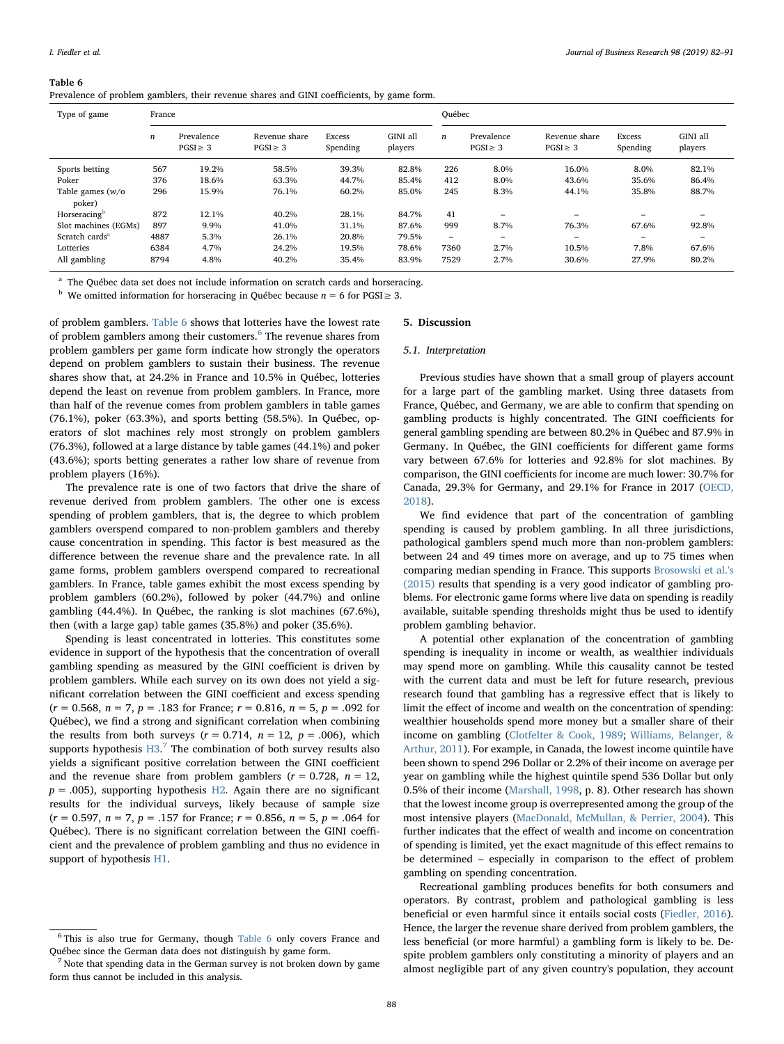#### <span id="page-6-0"></span>Table 6

Prevalence of problem gamblers, their revenue shares and GINI coefficients, by game form.

| Type of game               | France           |                             |                                | Ouébec                    |                     |                          |                             |                                |                          |                              |
|----------------------------|------------------|-----------------------------|--------------------------------|---------------------------|---------------------|--------------------------|-----------------------------|--------------------------------|--------------------------|------------------------------|
|                            | $\boldsymbol{n}$ | Prevalence<br>$PGSI \geq 3$ | Revenue share<br>$PGSI \geq 3$ | <b>Excess</b><br>Spending | GINI all<br>players | $\boldsymbol{n}$         | Prevalence<br>$PGSI \geq 3$ | Revenue share<br>$PGSI \geq 3$ | Excess<br>Spending       | GINI all<br>players          |
| Sports betting             | 567              | 19.2%                       | 58.5%                          | 39.3%                     | 82.8%               | 226                      | 8.0%                        | 16.0%                          | 8.0%                     | 82.1%                        |
| Poker                      | 376              | 18.6%                       | 63.3%                          | 44.7%                     | 85.4%               | 412                      | 8.0%                        | 43.6%                          | 35.6%                    | 86.4%                        |
| Table games (w/o<br>poker) | 296              | 15.9%                       | 76.1%                          | 60.2%                     | 85.0%               | 245                      | 8.3%                        | 44.1%                          | 35.8%                    | 88.7%                        |
| Horseracing                | 872              | 12.1%                       | 40.2%                          | 28.1%                     | 84.7%               | 41                       | $\overline{\phantom{0}}$    | -                              | -                        | $\overline{\phantom{0}}$     |
| Slot machines (EGMs)       | 897              | 9.9%                        | 41.0%                          | 31.1%                     | 87.6%               | 999                      | 8.7%                        | 76.3%                          | 67.6%                    | 92.8%                        |
| Scratch cards <sup>a</sup> | 4887             | 5.3%                        | 26.1%                          | 20.8%                     | 79.5%               | $\overline{\phantom{0}}$ | -                           | -                              | $\overline{\phantom{0}}$ | $\qquad \qquad \blacksquare$ |
| Lotteries                  | 6384             | 4.7%                        | 24.2%                          | 19.5%                     | 78.6%               | 7360                     | 2.7%                        | 10.5%                          | 7.8%                     | 67.6%                        |
| All gambling               | 8794             | 4.8%                        | 40.2%                          | 35.4%                     | 83.9%               | 7529                     | 2.7%                        | 30.6%                          | 27.9%                    | 80.2%                        |

<span id="page-6-4"></span><sup>a</sup> The Québec data set does not include information on scratch cards and horseracing.

<span id="page-6-3"></span><sup>b</sup> We omitted information for horseracing in Québec because  $n = 6$  for PGSI  $\geq 3$ .

of problem gamblers. [Table 6](#page-6-0) shows that lotteries have the lowest rate of problem gamblers among their customers. $^6$  $^6$  The revenue shares from problem gamblers per game form indicate how strongly the operators depend on problem gamblers to sustain their business. The revenue shares show that, at 24.2% in France and 10.5% in Québec, lotteries depend the least on revenue from problem gamblers. In France, more than half of the revenue comes from problem gamblers in table games (76.1%), poker (63.3%), and sports betting (58.5%). In Québec, operators of slot machines rely most strongly on problem gamblers (76.3%), followed at a large distance by table games (44.1%) and poker (43.6%); sports betting generates a rather low share of revenue from problem players (16%).

The prevalence rate is one of two factors that drive the share of revenue derived from problem gamblers. The other one is excess spending of problem gamblers, that is, the degree to which problem gamblers overspend compared to non-problem gamblers and thereby cause concentration in spending. This factor is best measured as the difference between the revenue share and the prevalence rate. In all game forms, problem gamblers overspend compared to recreational gamblers. In France, table games exhibit the most excess spending by problem gamblers (60.2%), followed by poker (44.7%) and online gambling (44.4%). In Québec, the ranking is slot machines (67.6%), then (with a large gap) table games (35.8%) and poker (35.6%).

Spending is least concentrated in lotteries. This constitutes some evidence in support of the hypothesis that the concentration of overall gambling spending as measured by the GINI coefficient is driven by problem gamblers. While each survey on its own does not yield a significant correlation between the GINI coefficient and excess spending  $(r = 0.568, n = 7, p = .183$  for France;  $r = 0.816, n = 5, p = .092$  for Québec), we find a strong and significant correlation when combining the results from both surveys  $(r = 0.714, n = 12, p = .006)$ , which supports hypothesis  $H3$ .<sup>[7](#page-6-2)</sup> The combination of both survey results also yields a significant positive correlation between the GINI coefficient and the revenue share from problem gamblers ( $r = 0.728$ ,  $n = 12$ ,  $p = .005$ ), supporting hypothesis [H2](#page-2-2). Again there are no significant results for the individual surveys, likely because of sample size  $(r = 0.597, n = 7, p = .157$  for France;  $r = 0.856, n = 5, p = .064$  for Québec). There is no significant correlation between the GINI coefficient and the prevalence of problem gambling and thus no evidence in support of hypothesis [H1](#page-2-3).

# 5. Discussion

#### 5.1. Interpretation

Previous studies have shown that a small group of players account for a large part of the gambling market. Using three datasets from France, Québec, and Germany, we are able to confirm that spending on gambling products is highly concentrated. The GINI coefficients for general gambling spending are between 80.2% in Québec and 87.9% in Germany. In Québec, the GINI coefficients for different game forms vary between 67.6% for lotteries and 92.8% for slot machines. By comparison, the GINI coefficients for income are much lower: 30.7% for Canada, 29.3% for Germany, and 29.1% for France in 2017 [\(OECD,](#page-9-27) [2018\)](#page-9-27).

We find evidence that part of the concentration of gambling spending is caused by problem gambling. In all three jurisdictions, pathological gamblers spend much more than non-problem gamblers: between 24 and 49 times more on average, and up to 75 times when comparing median spending in France. This supports [Brosowski et al.'s](#page-8-0) [\(2015\)](#page-8-0) results that spending is a very good indicator of gambling problems. For electronic game forms where live data on spending is readily available, suitable spending thresholds might thus be used to identify problem gambling behavior.

A potential other explanation of the concentration of gambling spending is inequality in income or wealth, as wealthier individuals may spend more on gambling. While this causality cannot be tested with the current data and must be left for future research, previous research found that gambling has a regressive effect that is likely to limit the effect of income and wealth on the concentration of spending: wealthier households spend more money but a smaller share of their income on gambling ([Clotfelter & Cook, 1989;](#page-8-14) [Williams, Belanger, &](#page-9-28) [Arthur, 2011](#page-9-28)). For example, in Canada, the lowest income quintile have been shown to spend 296 Dollar or 2.2% of their income on average per year on gambling while the highest quintile spend 536 Dollar but only 0.5% of their income ([Marshall, 1998](#page-9-29), p. 8). Other research has shown that the lowest income group is overrepresented among the group of the most intensive players ([MacDonald, McMullan, & Perrier, 2004\)](#page-9-30). This further indicates that the effect of wealth and income on concentration of spending is limited, yet the exact magnitude of this effect remains to be determined – especially in comparison to the effect of problem gambling on spending concentration.

Recreational gambling produces benefits for both consumers and operators. By contrast, problem and pathological gambling is less beneficial or even harmful since it entails social costs ([Fiedler, 2016](#page-8-15)). Hence, the larger the revenue share derived from problem gamblers, the less beneficial (or more harmful) a gambling form is likely to be. Despite problem gamblers only constituting a minority of players and an almost negligible part of any given country's population, they account

<span id="page-6-1"></span><sup>6</sup> This is also true for Germany, though [Table 6](#page-6-0) only covers France and Québec since the German data does not distinguish by game form.

<span id="page-6-2"></span> $<sup>7</sup>$  Note that spending data in the German survey is not broken down by game</sup> form thus cannot be included in this analysis.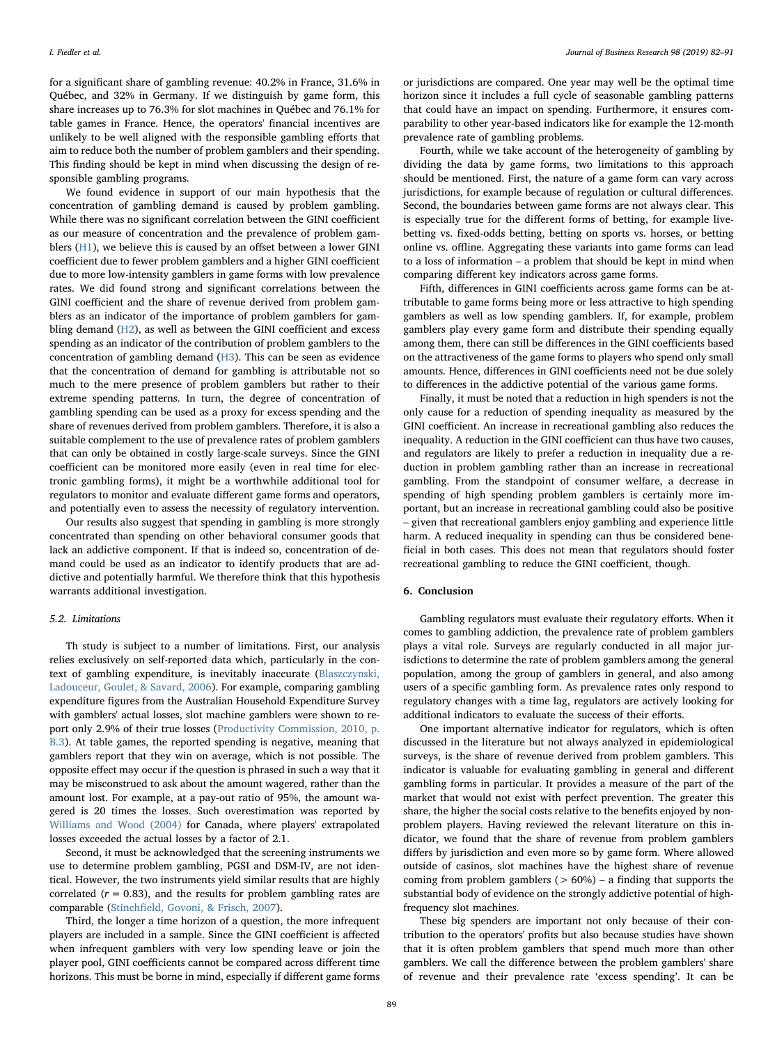for a significant share of gambling revenue: 40.2% in France, 31.6% in Québec, and 32% in Germany. If we distinguish by game form, this share increases up to 76.3% for slot machines in Québec and 76.1% for table games in France. Hence, the operators' financial incentives are unlikely to be well aligned with the responsible gambling efforts that aim to reduce both the number of problem gamblers and their spending. This finding should be kept in mind when discussing the design of responsible gambling programs.

We found evidence in support of our main hypothesis that the concentration of gambling demand is caused by problem gambling. While there was no significant correlation between the GINI coefficient as our measure of concentration and the prevalence of problem gamblers ([H1](#page-2-3)), we believe this is caused by an offset between a lower GINI coefficient due to fewer problem gamblers and a higher GINI coefficient due to more low-intensity gamblers in game forms with low prevalence rates. We did found strong and significant correlations between the GINI coefficient and the share of revenue derived from problem gamblers as an indicator of the importance of problem gamblers for gambling demand ([H2](#page-2-2)), as well as between the GINI coefficient and excess spending as an indicator of the contribution of problem gamblers to the concentration of gambling demand  $(H3)$  $(H3)$  $(H3)$ . This can be seen as evidence that the concentration of demand for gambling is attributable not so much to the mere presence of problem gamblers but rather to their extreme spending patterns. In turn, the degree of concentration of gambling spending can be used as a proxy for excess spending and the share of revenues derived from problem gamblers. Therefore, it is also a suitable complement to the use of prevalence rates of problem gamblers that can only be obtained in costly large-scale surveys. Since the GINI coefficient can be monitored more easily (even in real time for electronic gambling forms), it might be a worthwhile additional tool for regulators to monitor and evaluate different game forms and operators, and potentially even to assess the necessity of regulatory intervention.

Our results also suggest that spending in gambling is more strongly concentrated than spending on other behavioral consumer goods that lack an addictive component. If that is indeed so, concentration of demand could be used as an indicator to identify products that are addictive and potentially harmful. We therefore think that this hypothesis warrants additional investigation.

#### 5.2. Limitations

Th study is subject to a number of limitations. First, our analysis relies exclusively on self-reported data which, particularly in the context of gambling expenditure, is inevitably inaccurate [\(Blaszczynski,](#page-8-16) [Ladouceur, Goulet, & Savard, 2006\)](#page-8-16). For example, comparing gambling expenditure figures from the Australian Household Expenditure Survey with gamblers' actual losses, slot machine gamblers were shown to report only 2.9% of their true losses [\(Productivity Commission, 2010, p.](#page-9-1) [B.3](#page-9-1)). At table games, the reported spending is negative, meaning that gamblers report that they win on average, which is not possible. The opposite effect may occur if the question is phrased in such a way that it may be misconstrued to ask about the amount wagered, rather than the amount lost. For example, at a pay-out ratio of 95%, the amount wagered is 20 times the losses. Such overestimation was reported by [Williams and Wood \(2004\)](#page-9-13) for Canada, where players' extrapolated losses exceeded the actual losses by a factor of 2.1.

Second, it must be acknowledged that the screening instruments we use to determine problem gambling, PGSI and DSM-IV, are not identical. However, the two instruments yield similar results that are highly correlated  $(r = 0.83)$ , and the results for problem gambling rates are comparable (Stinchfi[eld, Govoni, & Frisch, 2007\)](#page-9-31).

Third, the longer a time horizon of a question, the more infrequent players are included in a sample. Since the GINI coefficient is affected when infrequent gamblers with very low spending leave or join the player pool, GINI coefficients cannot be compared across different time horizons. This must be borne in mind, especially if different game forms

or jurisdictions are compared. One year may well be the optimal time horizon since it includes a full cycle of seasonable gambling patterns that could have an impact on spending. Furthermore, it ensures comparability to other year-based indicators like for example the 12-month prevalence rate of gambling problems.

Fourth, while we take account of the heterogeneity of gambling by dividing the data by game forms, two limitations to this approach should be mentioned. First, the nature of a game form can vary across jurisdictions, for example because of regulation or cultural differences. Second, the boundaries between game forms are not always clear. This is especially true for the different forms of betting, for example livebetting vs. fixed-odds betting, betting on sports vs. horses, or betting online vs. offline. Aggregating these variants into game forms can lead to a loss of information – a problem that should be kept in mind when comparing different key indicators across game forms.

Fifth, differences in GINI coefficients across game forms can be attributable to game forms being more or less attractive to high spending gamblers as well as low spending gamblers. If, for example, problem gamblers play every game form and distribute their spending equally among them, there can still be differences in the GINI coefficients based on the attractiveness of the game forms to players who spend only small amounts. Hence, differences in GINI coefficients need not be due solely to differences in the addictive potential of the various game forms.

Finally, it must be noted that a reduction in high spenders is not the only cause for a reduction of spending inequality as measured by the GINI coefficient. An increase in recreational gambling also reduces the inequality. A reduction in the GINI coefficient can thus have two causes, and regulators are likely to prefer a reduction in inequality due a reduction in problem gambling rather than an increase in recreational gambling. From the standpoint of consumer welfare, a decrease in spending of high spending problem gamblers is certainly more important, but an increase in recreational gambling could also be positive – given that recreational gamblers enjoy gambling and experience little harm. A reduced inequality in spending can thus be considered beneficial in both cases. This does not mean that regulators should foster recreational gambling to reduce the GINI coefficient, though.

# 6. Conclusion

Gambling regulators must evaluate their regulatory efforts. When it comes to gambling addiction, the prevalence rate of problem gamblers plays a vital role. Surveys are regularly conducted in all major jurisdictions to determine the rate of problem gamblers among the general population, among the group of gamblers in general, and also among users of a specific gambling form. As prevalence rates only respond to regulatory changes with a time lag, regulators are actively looking for additional indicators to evaluate the success of their efforts.

One important alternative indicator for regulators, which is often discussed in the literature but not always analyzed in epidemiological surveys, is the share of revenue derived from problem gamblers. This indicator is valuable for evaluating gambling in general and different gambling forms in particular. It provides a measure of the part of the market that would not exist with perfect prevention. The greater this share, the higher the social costs relative to the benefits enjoyed by nonproblem players. Having reviewed the relevant literature on this indicator, we found that the share of revenue from problem gamblers differs by jurisdiction and even more so by game form. Where allowed outside of casinos, slot machines have the highest share of revenue coming from problem gamblers  $(> 60\%)$  – a finding that supports the substantial body of evidence on the strongly addictive potential of highfrequency slot machines.

These big spenders are important not only because of their contribution to the operators' profits but also because studies have shown that it is often problem gamblers that spend much more than other gamblers. We call the difference between the problem gamblers' share of revenue and their prevalence rate 'excess spending'. It can be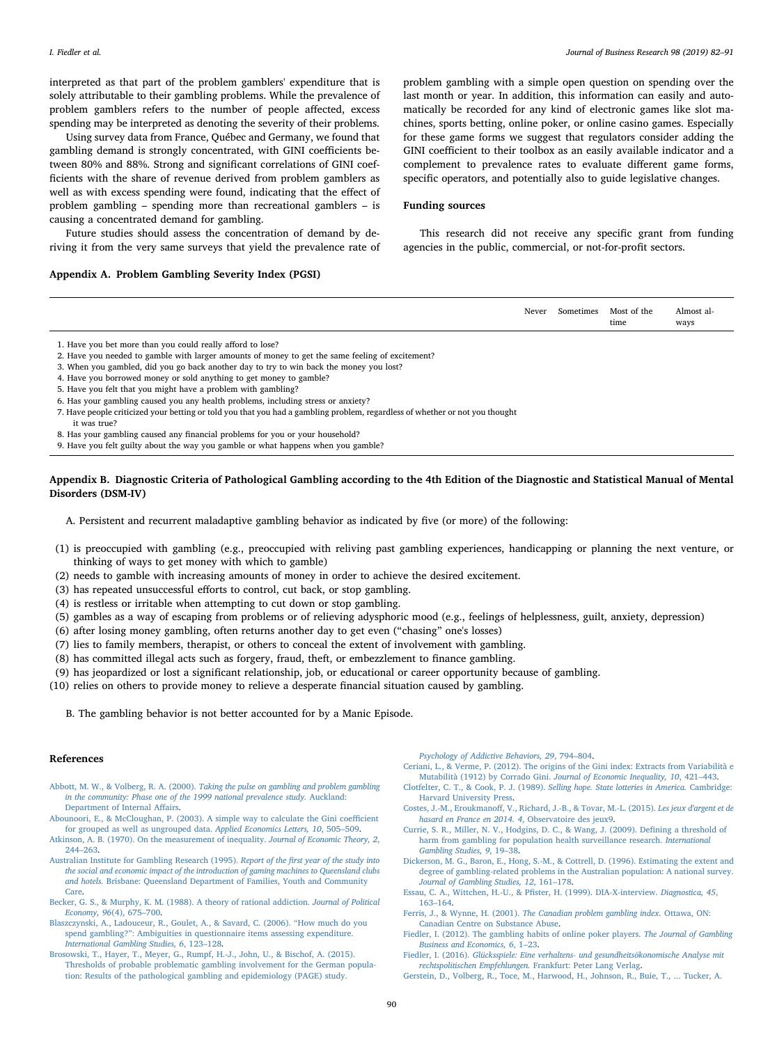interpreted as that part of the problem gamblers' expenditure that is solely attributable to their gambling problems. While the prevalence of problem gamblers refers to the number of people affected, excess spending may be interpreted as denoting the severity of their problems.

Using survey data from France, Québec and Germany, we found that gambling demand is strongly concentrated, with GINI coefficients between 80% and 88%. Strong and significant correlations of GINI coefficients with the share of revenue derived from problem gamblers as well as with excess spending were found, indicating that the effect of problem gambling – spending more than recreational gamblers – is causing a concentrated demand for gambling.

Future studies should assess the concentration of demand by deriving it from the very same surveys that yield the prevalence rate of

#### Appendix A. Problem Gambling Severity Index (PGSI)

problem gambling with a simple open question on spending over the last month or year. In addition, this information can easily and automatically be recorded for any kind of electronic games like slot machines, sports betting, online poker, or online casino games. Especially for these game forms we suggest that regulators consider adding the GINI coefficient to their toolbox as an easily available indicator and a complement to prevalence rates to evaluate different game forms, specific operators, and potentially also to guide legislative changes.

# Funding sources

This research did not receive any specific grant from funding agencies in the public, commercial, or not-for-profit sectors.

Never Sometimes Most of the

|                                                                                                                              | time | ways |
|------------------------------------------------------------------------------------------------------------------------------|------|------|
| 1. Have you bet more than you could really afford to lose?                                                                   |      |      |
| 2. Have you needed to gamble with larger amounts of money to get the same feeling of excitement?                             |      |      |
| 3. When you gambled, did you go back another day to try to win back the money you lost?                                      |      |      |
| 4. Have you borrowed money or sold anything to get money to gamble?                                                          |      |      |
| 5. Have you felt that you might have a problem with gambling?                                                                |      |      |
| 6. Has your gambling caused you any health problems, including stress or anxiety?                                            |      |      |
| 7. Have people criticized your betting or told you that you had a gambling problem, regardless of whether or not you thought |      |      |
| it was true?                                                                                                                 |      |      |

8. Has your gambling caused any financial problems for you or your household?

9. Have you felt guilty about the way you gamble or what happens when you gamble?

# Appendix B. Diagnostic Criteria of Pathological Gambling according to the 4th Edition of the Diagnostic and Statistical Manual of Mental Disorders (DSM-IV)

A. Persistent and recurrent maladaptive gambling behavior as indicated by five (or more) of the following:

- (1) is preoccupied with gambling (e.g., preoccupied with reliving past gambling experiences, handicapping or planning the next venture, or thinking of ways to get money with which to gamble)
- (2) needs to gamble with increasing amounts of money in order to achieve the desired excitement.
- (3) has repeated unsuccessful efforts to control, cut back, or stop gambling.
- (4) is restless or irritable when attempting to cut down or stop gambling.
- (5) gambles as a way of escaping from problems or of relieving adysphoric mood (e.g., feelings of helplessness, guilt, anxiety, depression)
- (6) after losing money gambling, often returns another day to get even ("chasing" one's losses)
- (7) lies to family members, therapist, or others to conceal the extent of involvement with gambling.
- (8) has committed illegal acts such as forgery, fraud, theft, or embezzlement to finance gambling.
- (9) has jeopardized or lost a significant relationship, job, or educational or career opportunity because of gambling.
- (10) relies on others to provide money to relieve a desperate financial situation caused by gambling.
	- B. The gambling behavior is not better accounted for by a Manic Episode.

#### References

<span id="page-8-6"></span>Abbott, M. W., & Volberg, R. A. (2000). [Taking the pulse on gambling and problem gambling](http://refhub.elsevier.com/S0148-2963(19)30058-X/rf0005) [in the community: Phase one of the 1999 national prevalence study.](http://refhub.elsevier.com/S0148-2963(19)30058-X/rf0005) Auckland: [Department of Internal A](http://refhub.elsevier.com/S0148-2963(19)30058-X/rf0005)ffairs.

<span id="page-8-9"></span>[Abounoori, E., & McCloughan, P. \(2003\). A simple way to calculate the Gini coe](http://refhub.elsevier.com/S0148-2963(19)30058-X/rf0010)fficient [for grouped as well as ungrouped data.](http://refhub.elsevier.com/S0148-2963(19)30058-X/rf0010) Applied Economics Letters, 10, 505–509.

<span id="page-8-7"></span>[Atkinson, A. B. \(1970\). On the measurement of inequality.](http://refhub.elsevier.com/S0148-2963(19)30058-X/rf0015) Journal of Economic Theory, 2, 244–[263](http://refhub.elsevier.com/S0148-2963(19)30058-X/rf0015).

- <span id="page-8-4"></span>[Australian Institute for Gambling Research \(1995\).](http://refhub.elsevier.com/S0148-2963(19)30058-X/rf0020) Report of the first year of the study into [the social and economic impact of the introduction of gaming machines to Queensland clubs](http://refhub.elsevier.com/S0148-2963(19)30058-X/rf0020) and hotels. [Brisbane: Queensland Department of Families, Youth and Community](http://refhub.elsevier.com/S0148-2963(19)30058-X/rf0020) [Care](http://refhub.elsevier.com/S0148-2963(19)30058-X/rf0020).
- <span id="page-8-10"></span>[Becker, G. S., & Murphy, K. M. \(1988\). A theory of rational addiction.](http://refhub.elsevier.com/S0148-2963(19)30058-X/rf8475) Journal of Political [Economy, 96](http://refhub.elsevier.com/S0148-2963(19)30058-X/rf8475)(4), 675–700.
- <span id="page-8-16"></span>[Blaszczynski, A., Ladouceur, R., Goulet, A., & Savard, C. \(2006\).](http://refhub.elsevier.com/S0148-2963(19)30058-X/rf0025) "How much do you spend gambling?"[: Ambiguities in questionnaire items assessing expenditure.](http://refhub.elsevier.com/S0148-2963(19)30058-X/rf0025) [International Gambling Studies, 6](http://refhub.elsevier.com/S0148-2963(19)30058-X/rf0025), 123–128.
- <span id="page-8-0"></span>[Brosowski, T., Hayer, T., Meyer, G., Rumpf, H.-J., John, U., & Bischof, A. \(2015\).](http://refhub.elsevier.com/S0148-2963(19)30058-X/rf0030) [Thresholds of probable problematic gambling involvement for the German popula](http://refhub.elsevier.com/S0148-2963(19)30058-X/rf0030)[tion: Results of the pathological gambling and epidemiology \(PAGE\) study.](http://refhub.elsevier.com/S0148-2963(19)30058-X/rf0030)

[Psychology of Addictive Behaviors, 29](http://refhub.elsevier.com/S0148-2963(19)30058-X/rf0030), 794–804.

- <span id="page-8-8"></span>[Ceriani, L., & Verme, P. \(2012\). The origins of the Gini index: Extracts from Variabilità e](http://refhub.elsevier.com/S0148-2963(19)30058-X/rf0035) [Mutabilità \(1912\) by Corrado Gini.](http://refhub.elsevier.com/S0148-2963(19)30058-X/rf0035) Journal of Economic Inequality, 10, 421–443.
- <span id="page-8-14"></span>[Clotfelter, C. T., & Cook, P. J. \(1989\).](http://refhub.elsevier.com/S0148-2963(19)30058-X/rf0040) Selling hope. State lotteries in America. Cambridge: [Harvard University Press](http://refhub.elsevier.com/S0148-2963(19)30058-X/rf0040).
- <span id="page-8-11"></span>Costes, J.-M., Eroukmanoff[, V., Richard, J.-B., & Tovar, M.-L. \(2015\).](http://refhub.elsevier.com/S0148-2963(19)30058-X/rf0045) Les jeux d'argent et de [hasard en France en 2014. 4](http://refhub.elsevier.com/S0148-2963(19)30058-X/rf0045), Observatoire des jeux9.
- <span id="page-8-1"></span>[Currie, S. R., Miller, N. V., Hodgins, D. C., & Wang, J. \(2009\). De](http://refhub.elsevier.com/S0148-2963(19)30058-X/rf0050)fining a threshold of [harm from gambling for population health surveillance research.](http://refhub.elsevier.com/S0148-2963(19)30058-X/rf0050) International [Gambling Studies, 9](http://refhub.elsevier.com/S0148-2963(19)30058-X/rf0050), 19–38.
- <span id="page-8-3"></span>[Dickerson, M. G., Baron, E., Hong, S.-M., & Cottrell, D. \(1996\). Estimating the extent and](http://refhub.elsevier.com/S0148-2963(19)30058-X/rf0055) [degree of gambling-related problems in the Australian population: A national survey.](http://refhub.elsevier.com/S0148-2963(19)30058-X/rf0055) [Journal of Gambling Studies, 12](http://refhub.elsevier.com/S0148-2963(19)30058-X/rf0055), 161–178.
- <span id="page-8-13"></span>[Essau, C. A., Wittchen, H.-U., & P](http://refhub.elsevier.com/S0148-2963(19)30058-X/rf0060)fister, H. (1999). DIA-X-interview. Diagnostica, 45, 163–[164](http://refhub.elsevier.com/S0148-2963(19)30058-X/rf0060).
- <span id="page-8-12"></span>Ferris, J., & Wynne, H. (2001). [The Canadian problem gambling index.](http://refhub.elsevier.com/S0148-2963(19)30058-X/rf0065) Ottawa, ON: [Canadian Centre on Substance Abuse](http://refhub.elsevier.com/S0148-2963(19)30058-X/rf0065).
- <span id="page-8-2"></span>[Fiedler, I. \(2012\). The gambling habits of online poker players.](http://refhub.elsevier.com/S0148-2963(19)30058-X/rf0070) The Journal of Gambling [Business and Economics, 6](http://refhub.elsevier.com/S0148-2963(19)30058-X/rf0070), 1–23.

<span id="page-8-15"></span>Fiedler, I. (2016). [Glücksspiele: Eine verhaltens- und gesundheitsökonomische Analyse mit](http://refhub.elsevier.com/S0148-2963(19)30058-X/rf0075) [rechtspolitischen Empfehlungen.](http://refhub.elsevier.com/S0148-2963(19)30058-X/rf0075) Frankfurt: Peter Lang Verlag.

<span id="page-8-5"></span>[Gerstein, D., Volberg, R., Toce, M., Harwood, H., Johnson, R., Buie, T., ... Tucker, A.](http://refhub.elsevier.com/S0148-2963(19)30058-X/rf0080)

Almost al-